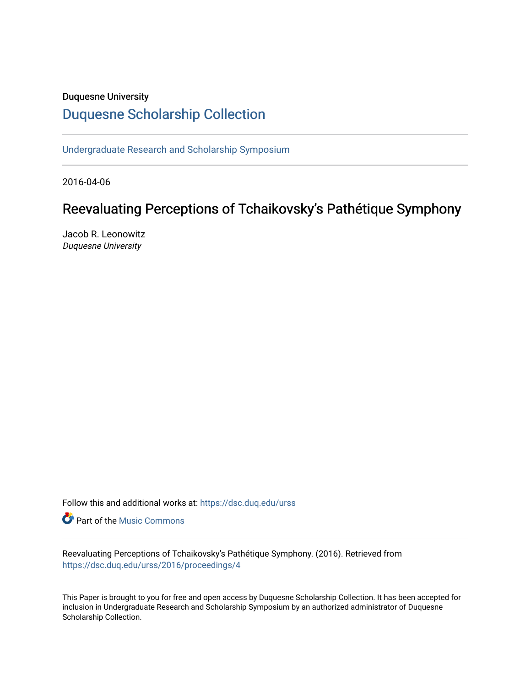### Duquesne University

## [Duquesne Scholarship Collection](https://dsc.duq.edu/)

[Undergraduate Research and Scholarship Symposium](https://dsc.duq.edu/urss)

2016-04-06

# Reevaluating Perceptions of Tchaikovsky's Pathétique Symphony

Jacob R. Leonowitz Duquesne University

Follow this and additional works at: [https://dsc.duq.edu/urss](https://dsc.duq.edu/urss?utm_source=dsc.duq.edu%2Furss%2F2016%2Fproceedings%2F4&utm_medium=PDF&utm_campaign=PDFCoverPages)

**Part of the Music Commons** 

Reevaluating Perceptions of Tchaikovsky's Pathétique Symphony. (2016). Retrieved from [https://dsc.duq.edu/urss/2016/proceedings/4](https://dsc.duq.edu/urss/2016/proceedings/4?utm_source=dsc.duq.edu%2Furss%2F2016%2Fproceedings%2F4&utm_medium=PDF&utm_campaign=PDFCoverPages) 

This Paper is brought to you for free and open access by Duquesne Scholarship Collection. It has been accepted for inclusion in Undergraduate Research and Scholarship Symposium by an authorized administrator of Duquesne Scholarship Collection.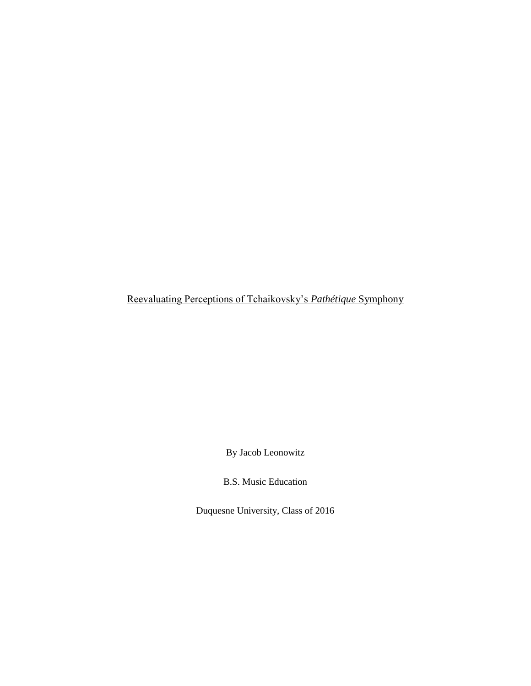Reevaluating Perceptions of Tchaikovsky's *Pathétique* Symphony

By Jacob Leonowitz

B.S. Music Education

Duquesne University, Class of 2016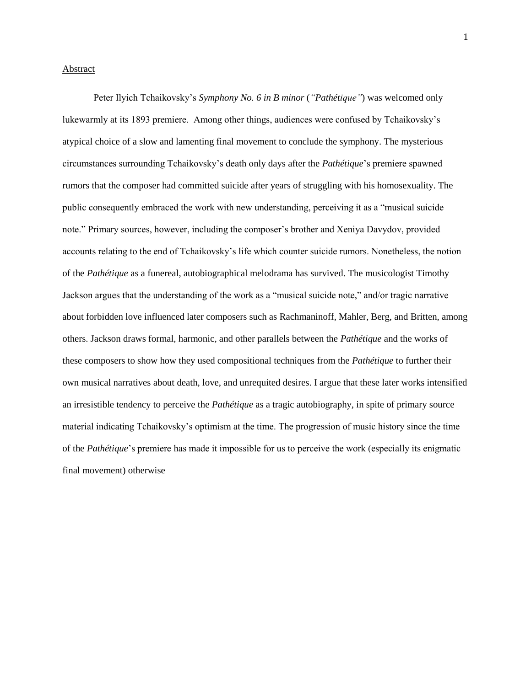### **Abstract**

Peter Ilyich Tchaikovsky's *Symphony No. 6 in B minor* (*"Pathétique"*) was welcomed only lukewarmly at its 1893 premiere. Among other things, audiences were confused by Tchaikovsky's atypical choice of a slow and lamenting final movement to conclude the symphony. The mysterious circumstances surrounding Tchaikovsky's death only days after the *Pathétique*'s premiere spawned rumors that the composer had committed suicide after years of struggling with his homosexuality. The public consequently embraced the work with new understanding, perceiving it as a "musical suicide note." Primary sources, however, including the composer's brother and Xeniya Davydov, provided accounts relating to the end of Tchaikovsky's life which counter suicide rumors. Nonetheless, the notion of the *Pathétique* as a funereal, autobiographical melodrama has survived. The musicologist Timothy Jackson argues that the understanding of the work as a "musical suicide note," and/or tragic narrative about forbidden love influenced later composers such as Rachmaninoff, Mahler, Berg, and Britten, among others. Jackson draws formal, harmonic, and other parallels between the *Pathétique* and the works of these composers to show how they used compositional techniques from the *Pathétique* to further their own musical narratives about death, love, and unrequited desires. I argue that these later works intensified an irresistible tendency to perceive the *Pathétique* as a tragic autobiography, in spite of primary source material indicating Tchaikovsky's optimism at the time. The progression of music history since the time of the *Pathétique*'s premiere has made it impossible for us to perceive the work (especially its enigmatic final movement) otherwise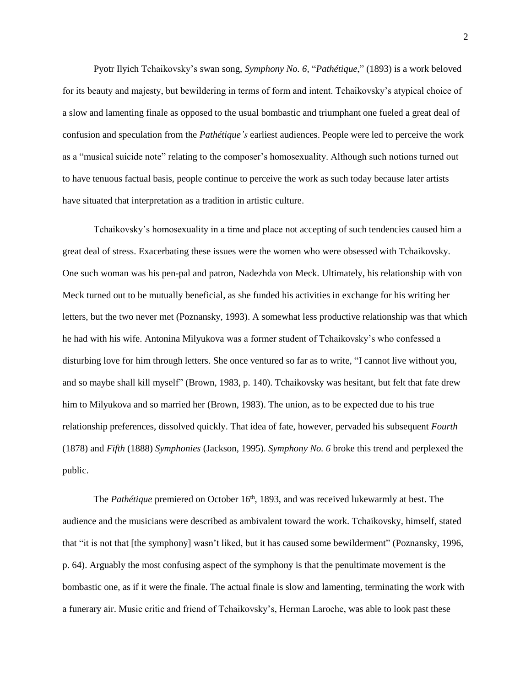Pyotr Ilyich Tchaikovsky's swan song, *Symphony No. 6,* "*Pathétique*," (1893) is a work beloved for its beauty and majesty, but bewildering in terms of form and intent. Tchaikovsky's atypical choice of a slow and lamenting finale as opposed to the usual bombastic and triumphant one fueled a great deal of confusion and speculation from the *Pathétique's* earliest audiences. People were led to perceive the work as a "musical suicide note" relating to the composer's homosexuality. Although such notions turned out to have tenuous factual basis, people continue to perceive the work as such today because later artists have situated that interpretation as a tradition in artistic culture.

Tchaikovsky's homosexuality in a time and place not accepting of such tendencies caused him a great deal of stress. Exacerbating these issues were the women who were obsessed with Tchaikovsky. One such woman was his pen-pal and patron, Nadezhda von Meck. Ultimately, his relationship with von Meck turned out to be mutually beneficial, as she funded his activities in exchange for his writing her letters, but the two never met (Poznansky, 1993). A somewhat less productive relationship was that which he had with his wife. Antonina Milyukova was a former student of Tchaikovsky's who confessed a disturbing love for him through letters. She once ventured so far as to write, "I cannot live without you, and so maybe shall kill myself" (Brown, 1983, p. 140). Tchaikovsky was hesitant, but felt that fate drew him to Milyukova and so married her (Brown, 1983). The union, as to be expected due to his true relationship preferences, dissolved quickly. That idea of fate, however, pervaded his subsequent *Fourth*  (1878) and *Fifth* (1888) *Symphonies* (Jackson, 1995)*. Symphony No. 6* broke this trend and perplexed the public.

The *Pathétique* premiered on October 16<sup>th</sup>, 1893, and was received lukewarmly at best. The audience and the musicians were described as ambivalent toward the work. Tchaikovsky, himself, stated that "it is not that [the symphony] wasn't liked, but it has caused some bewilderment" (Poznansky, 1996, p. 64). Arguably the most confusing aspect of the symphony is that the penultimate movement is the bombastic one, as if it were the finale. The actual finale is slow and lamenting, terminating the work with a funerary air. Music critic and friend of Tchaikovsky's, Herman Laroche, was able to look past these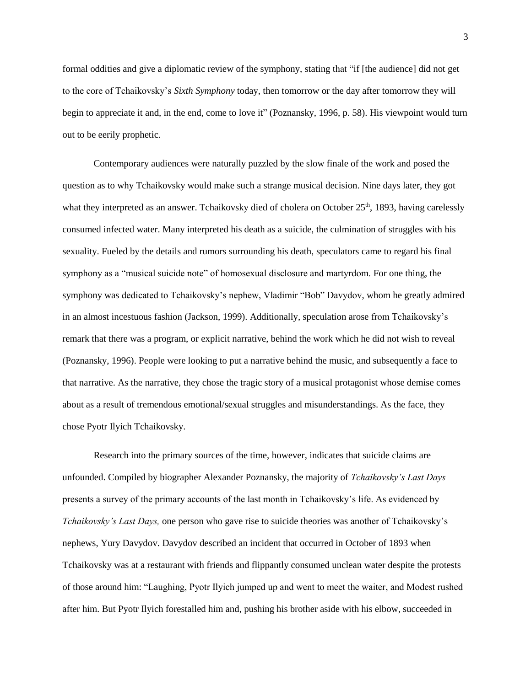formal oddities and give a diplomatic review of the symphony, stating that "if [the audience] did not get to the core of Tchaikovsky's *Sixth Symphony* today, then tomorrow or the day after tomorrow they will begin to appreciate it and, in the end, come to love it" (Poznansky, 1996, p. 58). His viewpoint would turn out to be eerily prophetic.

Contemporary audiences were naturally puzzled by the slow finale of the work and posed the question as to why Tchaikovsky would make such a strange musical decision. Nine days later, they got what they interpreted as an answer. Tchaikovsky died of cholera on October 25<sup>th</sup>, 1893, having carelessly consumed infected water. Many interpreted his death as a suicide, the culmination of struggles with his sexuality. Fueled by the details and rumors surrounding his death, speculators came to regard his final symphony as a "musical suicide note" of homosexual disclosure and martyrdom. For one thing, the symphony was dedicated to Tchaikovsky's nephew, Vladimir "Bob" Davydov, whom he greatly admired in an almost incestuous fashion (Jackson, 1999). Additionally, speculation arose from Tchaikovsky's remark that there was a program, or explicit narrative, behind the work which he did not wish to reveal (Poznansky, 1996). People were looking to put a narrative behind the music, and subsequently a face to that narrative. As the narrative, they chose the tragic story of a musical protagonist whose demise comes about as a result of tremendous emotional/sexual struggles and misunderstandings. As the face, they chose Pyotr Ilyich Tchaikovsky.

Research into the primary sources of the time, however, indicates that suicide claims are unfounded. Compiled by biographer Alexander Poznansky, the majority of *Tchaikovsky's Last Days*  presents a survey of the primary accounts of the last month in Tchaikovsky's life. As evidenced by *Tchaikovsky's Last Days,* one person who gave rise to suicide theories was another of Tchaikovsky's nephews, Yury Davydov. Davydov described an incident that occurred in October of 1893 when Tchaikovsky was at a restaurant with friends and flippantly consumed unclean water despite the protests of those around him: "Laughing, Pyotr Ilyich jumped up and went to meet the waiter, and Modest rushed after him. But Pyotr Ilyich forestalled him and, pushing his brother aside with his elbow, succeeded in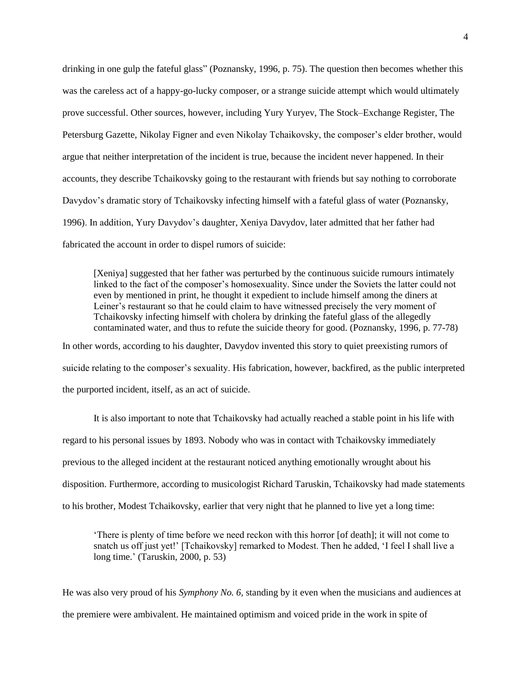drinking in one gulp the fateful glass" (Poznansky, 1996, p. 75). The question then becomes whether this was the careless act of a happy-go-lucky composer, or a strange suicide attempt which would ultimately prove successful. Other sources, however, including Yury Yuryev, The Stock–Exchange Register, The Petersburg Gazette, Nikolay Figner and even Nikolay Tchaikovsky, the composer's elder brother, would argue that neither interpretation of the incident is true, because the incident never happened. In their accounts, they describe Tchaikovsky going to the restaurant with friends but say nothing to corroborate Davydov's dramatic story of Tchaikovsky infecting himself with a fateful glass of water (Poznansky, 1996). In addition, Yury Davydov's daughter, Xeniya Davydov, later admitted that her father had fabricated the account in order to dispel rumors of suicide:

[Xeniya] suggested that her father was perturbed by the continuous suicide rumours intimately linked to the fact of the composer's homosexuality. Since under the Soviets the latter could not even by mentioned in print, he thought it expedient to include himself among the diners at Leiner's restaurant so that he could claim to have witnessed precisely the very moment of Tchaikovsky infecting himself with cholera by drinking the fateful glass of the allegedly contaminated water, and thus to refute the suicide theory for good. (Poznansky, 1996, p. 77-78) In other words, according to his daughter, Davydov invented this story to quiet preexisting rumors of

suicide relating to the composer's sexuality. His fabrication, however, backfired, as the public interpreted the purported incident, itself, as an act of suicide.

It is also important to note that Tchaikovsky had actually reached a stable point in his life with regard to his personal issues by 1893. Nobody who was in contact with Tchaikovsky immediately previous to the alleged incident at the restaurant noticed anything emotionally wrought about his disposition. Furthermore, according to musicologist Richard Taruskin, Tchaikovsky had made statements to his brother, Modest Tchaikovsky, earlier that very night that he planned to live yet a long time:

'There is plenty of time before we need reckon with this horror [of death]; it will not come to snatch us off just yet!' [Tchaikovsky] remarked to Modest. Then he added, 'I feel I shall live a long time.' (Taruskin, 2000, p. 53)

He was also very proud of his *Symphony No. 6,* standing by it even when the musicians and audiences at the premiere were ambivalent. He maintained optimism and voiced pride in the work in spite of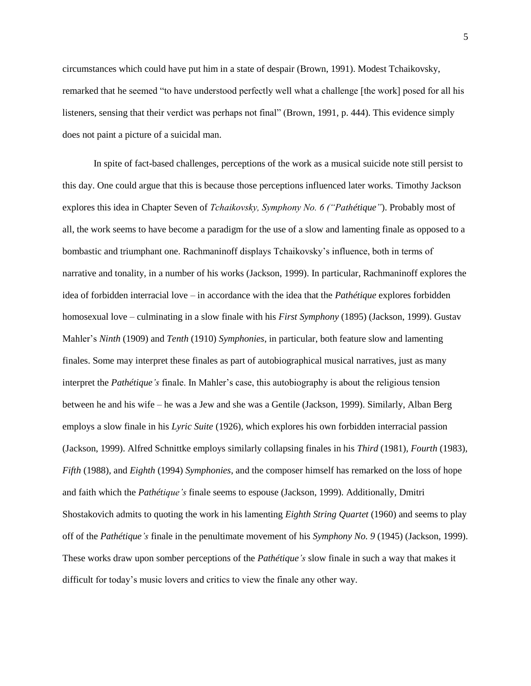circumstances which could have put him in a state of despair (Brown, 1991). Modest Tchaikovsky, remarked that he seemed "to have understood perfectly well what a challenge [the work] posed for all his listeners, sensing that their verdict was perhaps not final" (Brown, 1991*,* p. 444). This evidence simply does not paint a picture of a suicidal man.

In spite of fact-based challenges, perceptions of the work as a musical suicide note still persist to this day. One could argue that this is because those perceptions influenced later works. Timothy Jackson explores this idea in Chapter Seven of *Tchaikovsky, Symphony No. 6 ("Pathétique"*). Probably most of all, the work seems to have become a paradigm for the use of a slow and lamenting finale as opposed to a bombastic and triumphant one. Rachmaninoff displays Tchaikovsky's influence, both in terms of narrative and tonality, in a number of his works (Jackson, 1999). In particular, Rachmaninoff explores the idea of forbidden interracial love – in accordance with the idea that the *Pathétique* explores forbidden homosexual love – culminating in a slow finale with his *First Symphony* (1895) (Jackson, 1999). Gustav Mahler's *Ninth* (1909) and *Tenth* (1910) *Symphonies*, in particular, both feature slow and lamenting finales. Some may interpret these finales as part of autobiographical musical narratives, just as many interpret the *Pathétique's* finale. In Mahler's case, this autobiography is about the religious tension between he and his wife – he was a Jew and she was a Gentile (Jackson, 1999). Similarly, Alban Berg employs a slow finale in his *Lyric Suite* (1926)*,* which explores his own forbidden interracial passion (Jackson, 1999). Alfred Schnittke employs similarly collapsing finales in his *Third* (1981)*, Fourth* (1983)*, Fifth* (1988)*,* and *Eighth* (1994) *Symphonies*, and the composer himself has remarked on the loss of hope and faith which the *Pathétique's* finale seems to espouse (Jackson, 1999)*.* Additionally, Dmitri Shostakovich admits to quoting the work in his lamenting *Eighth String Quartet* (1960) and seems to play off of the *Pathétique's* finale in the penultimate movement of his *Symphony No. 9* (1945) (Jackson, 1999). These works draw upon somber perceptions of the *Pathétique's* slow finale in such a way that makes it difficult for today's music lovers and critics to view the finale any other way.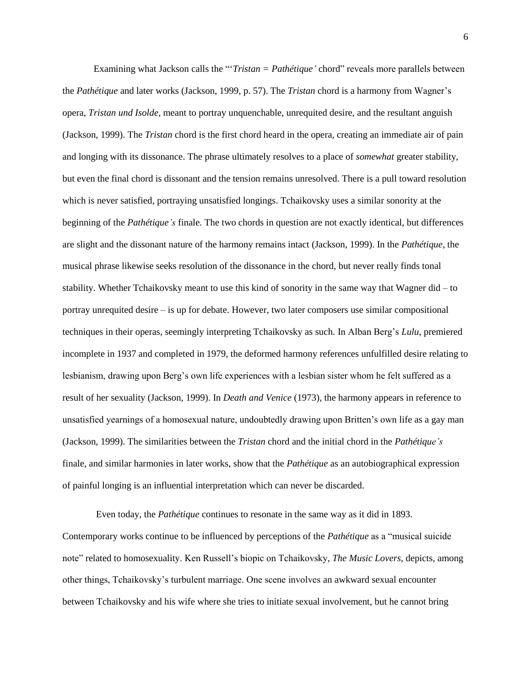Examining what Jackson calls the "'*Tristan = Pathétique'* chord" reveals more parallels between the *Pathétique* and later works (Jackson, 1999, p. 57). The *Tristan* chord is a harmony from Wagner's opera, *Tristan und Isolde,* meant to portray unquenchable, unrequited desire, and the resultant anguish (Jackson, 1999). The *Tristan* chord is the first chord heard in the opera, creating an immediate air of pain and longing with its dissonance. The phrase ultimately resolves to a place of *somewhat* greater stability, but even the final chord is dissonant and the tension remains unresolved. There is a pull toward resolution which is never satisfied, portraying unsatisfied longings. Tchaikovsky uses a similar sonority at the beginning of the *Pathétique's* finale*.* The two chords in question are not exactly identical, but differences are slight and the dissonant nature of the harmony remains intact (Jackson, 1999). In the *Pathétique*, the musical phrase likewise seeks resolution of the dissonance in the chord, but never really finds tonal stability. Whether Tchaikovsky meant to use this kind of sonority in the same way that Wagner did – to portray unrequited desire – is up for debate. However, two later composers use similar compositional techniques in their operas, seemingly interpreting Tchaikovsky as such. In Alban Berg's *Lulu*, premiered incomplete in 1937 and completed in 1979*,* the deformed harmony references unfulfilled desire relating to lesbianism, drawing upon Berg's own life experiences with a lesbian sister whom he felt suffered as a result of her sexuality (Jackson, 1999). In *Death and Venice* (1973)*,* the harmony appears in reference to unsatisfied yearnings of a homosexual nature, undoubtedly drawing upon Britten's own life as a gay man (Jackson, 1999). The similarities between the *Tristan* chord and the initial chord in the *Pathétique's*  finale, and similar harmonies in later works, show that the *Pathétique* as an autobiographical expression of painful longing is an influential interpretation which can never be discarded.

Even today, the *Pathétique* continues to resonate in the same way as it did in 1893. Contemporary works continue to be influenced by perceptions of the *Pathétique* as a "musical suicide note" related to homosexuality. Ken Russell's biopic on Tchaikovsky, *The Music Lovers,* depicts, among other things, Tchaikovsky's turbulent marriage. One scene involves an awkward sexual encounter between Tchaikovsky and his wife where she tries to initiate sexual involvement, but he cannot bring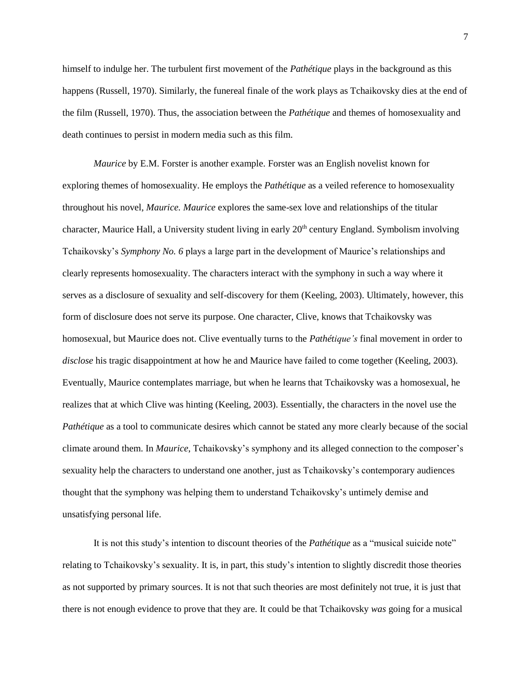himself to indulge her. The turbulent first movement of the *Pathétique* plays in the background as this happens (Russell, 1970). Similarly, the funereal finale of the work plays as Tchaikovsky dies at the end of the film (Russell, 1970). Thus, the association between the *Pathétique* and themes of homosexuality and death continues to persist in modern media such as this film.

*Maurice* by E.M. Forster is another example. Forster was an English novelist known for exploring themes of homosexuality. He employs the *Pathétique* as a veiled reference to homosexuality throughout his novel, *Maurice. Maurice* explores the same-sex love and relationships of the titular character, Maurice Hall, a University student living in early 20<sup>th</sup> century England. Symbolism involving Tchaikovsky's *Symphony No. 6* plays a large part in the development of Maurice's relationships and clearly represents homosexuality. The characters interact with the symphony in such a way where it serves as a disclosure of sexuality and self-discovery for them (Keeling, 2003). Ultimately, however, this form of disclosure does not serve its purpose. One character, Clive, knows that Tchaikovsky was homosexual, but Maurice does not. Clive eventually turns to the *Pathétique's* final movement in order to *disclose* his tragic disappointment at how he and Maurice have failed to come together (Keeling, 2003). Eventually, Maurice contemplates marriage, but when he learns that Tchaikovsky was a homosexual, he realizes that at which Clive was hinting (Keeling, 2003). Essentially, the characters in the novel use the *Pathétique* as a tool to communicate desires which cannot be stated any more clearly because of the social climate around them. In *Maurice*, Tchaikovsky's symphony and its alleged connection to the composer's sexuality help the characters to understand one another, just as Tchaikovsky's contemporary audiences thought that the symphony was helping them to understand Tchaikovsky's untimely demise and unsatisfying personal life.

It is not this study's intention to discount theories of the *Pathétique* as a "musical suicide note" relating to Tchaikovsky's sexuality. It is, in part, this study's intention to slightly discredit those theories as not supported by primary sources. It is not that such theories are most definitely not true, it is just that there is not enough evidence to prove that they are. It could be that Tchaikovsky *was* going for a musical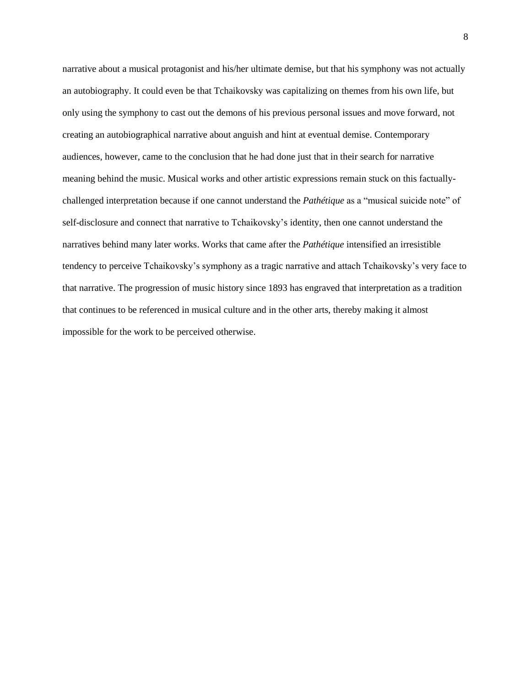narrative about a musical protagonist and his/her ultimate demise, but that his symphony was not actually an autobiography. It could even be that Tchaikovsky was capitalizing on themes from his own life, but only using the symphony to cast out the demons of his previous personal issues and move forward, not creating an autobiographical narrative about anguish and hint at eventual demise. Contemporary audiences, however, came to the conclusion that he had done just that in their search for narrative meaning behind the music. Musical works and other artistic expressions remain stuck on this factuallychallenged interpretation because if one cannot understand the *Pathétique* as a "musical suicide note" of self-disclosure and connect that narrative to Tchaikovsky's identity, then one cannot understand the narratives behind many later works. Works that came after the *Pathétique* intensified an irresistible tendency to perceive Tchaikovsky's symphony as a tragic narrative and attach Tchaikovsky's very face to that narrative. The progression of music history since 1893 has engraved that interpretation as a tradition that continues to be referenced in musical culture and in the other arts, thereby making it almost impossible for the work to be perceived otherwise.